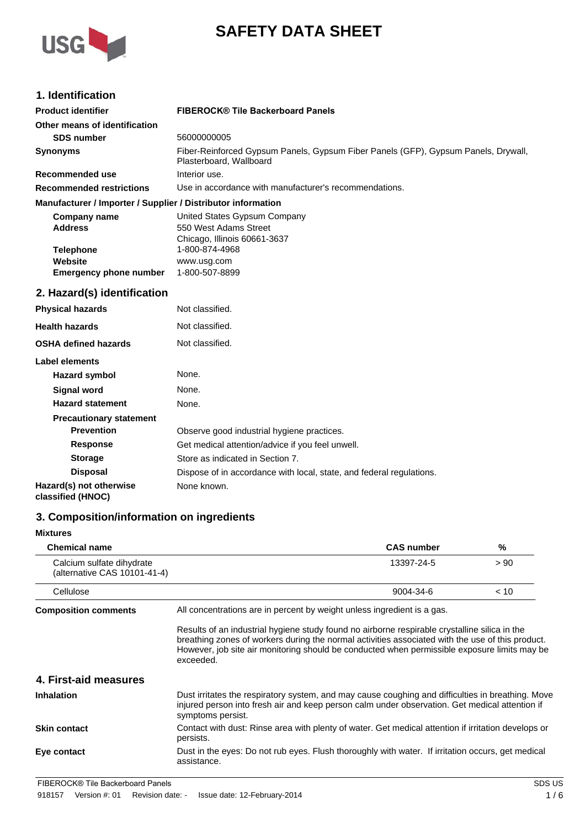

# **SAFETY DATA SHEET**

## **1. Identification**

| <b>Product identifier</b>                                    | <b>FIBEROCK® Tile Backerboard Panels</b>                                                                      |
|--------------------------------------------------------------|---------------------------------------------------------------------------------------------------------------|
| Other means of identification                                |                                                                                                               |
| <b>SDS number</b>                                            | 56000000005                                                                                                   |
| <b>Synonyms</b>                                              | Fiber-Reinforced Gypsum Panels, Gypsum Fiber Panels (GFP), Gypsum Panels, Drywall,<br>Plasterboard, Wallboard |
| Recommended use                                              | Interior use.                                                                                                 |
| <b>Recommended restrictions</b>                              | Use in accordance with manufacturer's recommendations.                                                        |
| Manufacturer / Importer / Supplier / Distributor information |                                                                                                               |
| Company name                                                 | United States Gypsum Company                                                                                  |
| <b>Address</b>                                               | 550 West Adams Street                                                                                         |
|                                                              | Chicago, Illinois 60661-3637                                                                                  |
| <b>Telephone</b>                                             | 1-800-874-4968                                                                                                |
| Website                                                      | www.usg.com                                                                                                   |
| <b>Emergency phone number</b>                                | 1-800-507-8899                                                                                                |

# **2. Hazard(s) identification**

| <b>Physical hazards</b>                      | Not classified.                                                      |
|----------------------------------------------|----------------------------------------------------------------------|
| <b>Health hazards</b>                        | Not classified.                                                      |
| <b>OSHA defined hazards</b>                  | Not classified.                                                      |
| Label elements                               |                                                                      |
| Hazard symbol                                | None.                                                                |
| Signal word                                  | None.                                                                |
| <b>Hazard statement</b>                      | None.                                                                |
| <b>Precautionary statement</b>               |                                                                      |
| <b>Prevention</b>                            | Observe good industrial hygiene practices.                           |
| <b>Response</b>                              | Get medical attention/advice if you feel unwell.                     |
| <b>Storage</b>                               | Store as indicated in Section 7.                                     |
| <b>Disposal</b>                              | Dispose of in accordance with local, state, and federal regulations. |
| Hazard(s) not otherwise<br>classified (HNOC) | None known.                                                          |

## **3. Composition/information on ingredients**

| <b>Mixtures</b>                                           |                                                                                                                                                                                                                                                                                                                |                   |      |
|-----------------------------------------------------------|----------------------------------------------------------------------------------------------------------------------------------------------------------------------------------------------------------------------------------------------------------------------------------------------------------------|-------------------|------|
| <b>Chemical name</b>                                      |                                                                                                                                                                                                                                                                                                                | <b>CAS number</b> | %    |
| Calcium sulfate dihydrate<br>(alternative CAS 10101-41-4) |                                                                                                                                                                                                                                                                                                                | 13397-24-5        | > 90 |
| Cellulose                                                 |                                                                                                                                                                                                                                                                                                                | 9004-34-6         | < 10 |
| <b>Composition comments</b>                               | All concentrations are in percent by weight unless ingredient is a gas.                                                                                                                                                                                                                                        |                   |      |
|                                                           | Results of an industrial hygiene study found no airborne respirable crystalline silica in the<br>breathing zones of workers during the normal activities associated with the use of this product.<br>However, job site air monitoring should be conducted when permissible exposure limits may be<br>exceeded. |                   |      |
| 4. First-aid measures                                     |                                                                                                                                                                                                                                                                                                                |                   |      |
| <b>Inhalation</b>                                         | Dust irritates the respiratory system, and may cause coughing and difficulties in breathing. Move<br>injured person into fresh air and keep person calm under observation. Get medical attention if<br>symptoms persist.                                                                                       |                   |      |
| <b>Skin contact</b>                                       | Contact with dust: Rinse area with plenty of water. Get medical attention if irritation develops or<br>persists.                                                                                                                                                                                               |                   |      |
| Eye contact                                               | Dust in the eyes: Do not rub eyes. Flush thoroughly with water. If irritation occurs, get medical<br>assistance.                                                                                                                                                                                               |                   |      |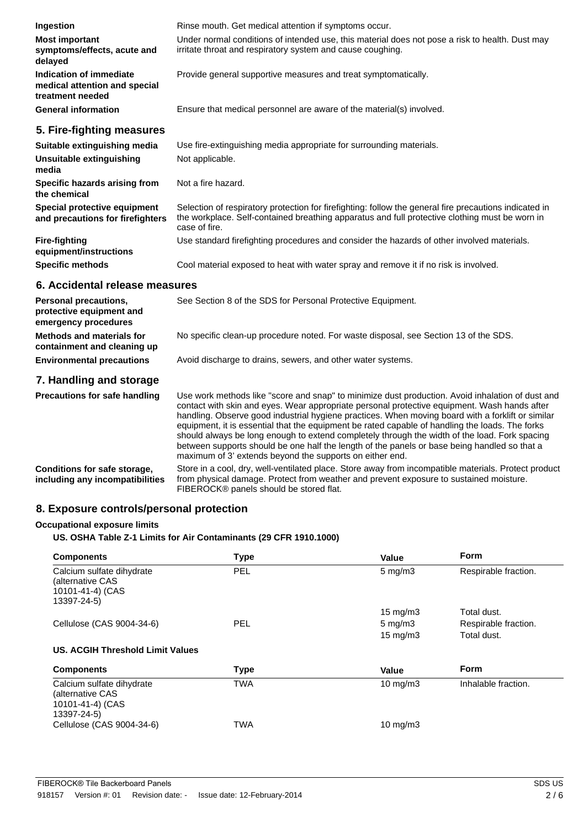| Ingestion                                                                    | Rinse mouth. Get medical attention if symptoms occur.                                                                                                                                                                                                                                                                                                                                                                                                                                                                                                                                                                                                                 |
|------------------------------------------------------------------------------|-----------------------------------------------------------------------------------------------------------------------------------------------------------------------------------------------------------------------------------------------------------------------------------------------------------------------------------------------------------------------------------------------------------------------------------------------------------------------------------------------------------------------------------------------------------------------------------------------------------------------------------------------------------------------|
| <b>Most important</b><br>symptoms/effects, acute and<br>delayed              | Under normal conditions of intended use, this material does not pose a risk to health. Dust may<br>irritate throat and respiratory system and cause coughing.                                                                                                                                                                                                                                                                                                                                                                                                                                                                                                         |
| Indication of immediate<br>medical attention and special<br>treatment needed | Provide general supportive measures and treat symptomatically.                                                                                                                                                                                                                                                                                                                                                                                                                                                                                                                                                                                                        |
| <b>General information</b>                                                   | Ensure that medical personnel are aware of the material(s) involved.                                                                                                                                                                                                                                                                                                                                                                                                                                                                                                                                                                                                  |
| 5. Fire-fighting measures                                                    |                                                                                                                                                                                                                                                                                                                                                                                                                                                                                                                                                                                                                                                                       |
| Suitable extinguishing media<br><b>Unsuitable extinguishing</b><br>media     | Use fire-extinguishing media appropriate for surrounding materials.<br>Not applicable.                                                                                                                                                                                                                                                                                                                                                                                                                                                                                                                                                                                |
| Specific hazards arising from<br>the chemical                                | Not a fire hazard.                                                                                                                                                                                                                                                                                                                                                                                                                                                                                                                                                                                                                                                    |
| Special protective equipment<br>and precautions for firefighters             | Selection of respiratory protection for firefighting: follow the general fire precautions indicated in<br>the workplace. Self-contained breathing apparatus and full protective clothing must be worn in<br>case of fire.                                                                                                                                                                                                                                                                                                                                                                                                                                             |
| <b>Fire-fighting</b><br>equipment/instructions                               | Use standard firefighting procedures and consider the hazards of other involved materials.                                                                                                                                                                                                                                                                                                                                                                                                                                                                                                                                                                            |
| <b>Specific methods</b>                                                      | Cool material exposed to heat with water spray and remove it if no risk is involved.                                                                                                                                                                                                                                                                                                                                                                                                                                                                                                                                                                                  |
| 6. Accidental release measures                                               |                                                                                                                                                                                                                                                                                                                                                                                                                                                                                                                                                                                                                                                                       |
| Personal precautions,<br>protective equipment and<br>emergency procedures    | See Section 8 of the SDS for Personal Protective Equipment.                                                                                                                                                                                                                                                                                                                                                                                                                                                                                                                                                                                                           |
| <b>Methods and materials for</b><br>containment and cleaning up              | No specific clean-up procedure noted. For waste disposal, see Section 13 of the SDS.                                                                                                                                                                                                                                                                                                                                                                                                                                                                                                                                                                                  |
| <b>Environmental precautions</b>                                             | Avoid discharge to drains, sewers, and other water systems.                                                                                                                                                                                                                                                                                                                                                                                                                                                                                                                                                                                                           |
| 7. Handling and storage                                                      |                                                                                                                                                                                                                                                                                                                                                                                                                                                                                                                                                                                                                                                                       |
| <b>Precautions for safe handling</b>                                         | Use work methods like "score and snap" to minimize dust production. Avoid inhalation of dust and<br>contact with skin and eyes. Wear appropriate personal protective equipment. Wash hands after<br>handling. Observe good industrial hygiene practices. When moving board with a forklift or similar<br>equipment, it is essential that the equipment be rated capable of handling the loads. The forks<br>should always be long enough to extend completely through the width of the load. Fork spacing<br>between supports should be one half the length of the panels or base being handled so that a<br>maximum of 3' extends beyond the supports on either end. |

**Conditions for safe storage, including any incompatibilities** Store in a cool, dry, well-ventilated place. Store away from incompatible materials. Protect product from physical damage. Protect from weather and prevent exposure to sustained moisture. FIBEROCK® panels should be stored flat.

## **8. Exposure controls/personal protection**

#### **Occupational exposure limits**

**US. OSHA Table Z-1 Limits for Air Contaminants (29 CFR 1910.1000)**

| <b>Components</b>                                                                | <b>Type</b> | Value              | <b>Form</b>          |
|----------------------------------------------------------------------------------|-------------|--------------------|----------------------|
| Calcium sulfate dihydrate<br>(alternative CAS<br>10101-41-4) (CAS<br>13397-24-5) | <b>PEL</b>  | $5 \text{ mg/m}$   | Respirable fraction. |
|                                                                                  |             | 15 mg/m $3$        | Total dust.          |
| Cellulose (CAS 9004-34-6)                                                        | <b>PEL</b>  | $5 \text{ mg/m}$ 3 | Respirable fraction. |
|                                                                                  |             | $15 \text{ mg/m}$  | Total dust.          |
| US. ACGIH Threshold Limit Values                                                 |             |                    |                      |
| <b>Components</b>                                                                | <b>Type</b> | Value              | <b>Form</b>          |
| Calcium sulfate dihydrate<br>(alternative CAS<br>10101-41-4) (CAS<br>13397-24-5) | <b>TWA</b>  | $10 \text{ mg/m}$  | Inhalable fraction.  |
| Cellulose (CAS 9004-34-6)                                                        | <b>TWA</b>  | $10 \text{ mg/m}$  |                      |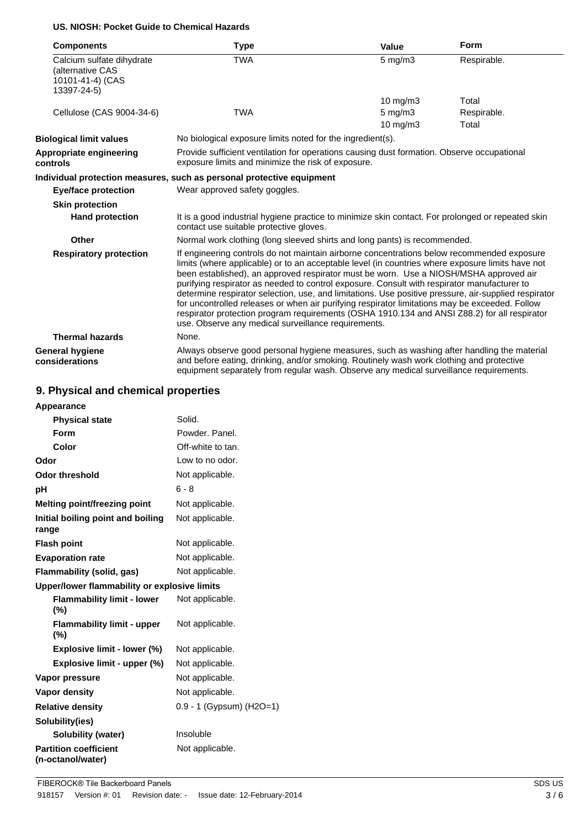## **US. NIOSH: Pocket Guide to Chemical Hazards**

| <b>Components</b>                                                                | Type                                                                                                                                                                                                                                                                                                                                                                                                                                                                                                                                                                                                                                                                                                                                                    | Value                    | <b>Form</b>          |
|----------------------------------------------------------------------------------|---------------------------------------------------------------------------------------------------------------------------------------------------------------------------------------------------------------------------------------------------------------------------------------------------------------------------------------------------------------------------------------------------------------------------------------------------------------------------------------------------------------------------------------------------------------------------------------------------------------------------------------------------------------------------------------------------------------------------------------------------------|--------------------------|----------------------|
| Calcium sulfate dihydrate<br>(alternative CAS<br>10101-41-4) (CAS<br>13397-24-5) | <b>TWA</b>                                                                                                                                                                                                                                                                                                                                                                                                                                                                                                                                                                                                                                                                                                                                              | $5 \text{ mg/m}$ 3       | Respirable.          |
|                                                                                  |                                                                                                                                                                                                                                                                                                                                                                                                                                                                                                                                                                                                                                                                                                                                                         | $10$ mg/m $3$            | Total                |
| Cellulose (CAS 9004-34-6)                                                        | <b>TWA</b>                                                                                                                                                                                                                                                                                                                                                                                                                                                                                                                                                                                                                                                                                                                                              | $5$ mg/m $3$<br>10 mg/m3 | Respirable.<br>Total |
| <b>Biological limit values</b>                                                   | No biological exposure limits noted for the ingredient(s).                                                                                                                                                                                                                                                                                                                                                                                                                                                                                                                                                                                                                                                                                              |                          |                      |
| Appropriate engineering<br>controls                                              | Provide sufficient ventilation for operations causing dust formation. Observe occupational<br>exposure limits and minimize the risk of exposure.                                                                                                                                                                                                                                                                                                                                                                                                                                                                                                                                                                                                        |                          |                      |
|                                                                                  | Individual protection measures, such as personal protective equipment                                                                                                                                                                                                                                                                                                                                                                                                                                                                                                                                                                                                                                                                                   |                          |                      |
| <b>Eye/face protection</b>                                                       | Wear approved safety goggles.                                                                                                                                                                                                                                                                                                                                                                                                                                                                                                                                                                                                                                                                                                                           |                          |                      |
| <b>Skin protection</b>                                                           |                                                                                                                                                                                                                                                                                                                                                                                                                                                                                                                                                                                                                                                                                                                                                         |                          |                      |
| <b>Hand protection</b>                                                           | It is a good industrial hygiene practice to minimize skin contact. For prolonged or repeated skin<br>contact use suitable protective gloves.                                                                                                                                                                                                                                                                                                                                                                                                                                                                                                                                                                                                            |                          |                      |
| Other                                                                            | Normal work clothing (long sleeved shirts and long pants) is recommended.                                                                                                                                                                                                                                                                                                                                                                                                                                                                                                                                                                                                                                                                               |                          |                      |
| <b>Respiratory protection</b>                                                    | If engineering controls do not maintain airborne concentrations below recommended exposure<br>limits (where applicable) or to an acceptable level (in countries where exposure limits have not<br>been established), an approved respirator must be worn. Use a NIOSH/MSHA approved air<br>purifying respirator as needed to control exposure. Consult with respirator manufacturer to<br>determine respirator selection, use, and limitations. Use positive pressure, air-supplied respirator<br>for uncontrolled releases or when air purifying respirator limitations may be exceeded. Follow<br>respirator protection program requirements (OSHA 1910.134 and ANSI Z88.2) for all respirator<br>use. Observe any medical surveillance requirements. |                          |                      |
| <b>Thermal hazards</b>                                                           | None.                                                                                                                                                                                                                                                                                                                                                                                                                                                                                                                                                                                                                                                                                                                                                   |                          |                      |
| <b>General hygiene</b><br>considerations                                         | Always observe good personal hygiene measures, such as washing after handling the material<br>and before eating, drinking, and/or smoking. Routinely wash work clothing and protective<br>equipment separately from regular wash. Observe any medical surveillance requirements.                                                                                                                                                                                                                                                                                                                                                                                                                                                                        |                          |                      |

## **9. Physical and chemical properties**

| Appearance                                        |                          |
|---------------------------------------------------|--------------------------|
| <b>Physical state</b>                             | Solid.                   |
| Form                                              | Powder, Panel.           |
| Color                                             | Off-white to tan.        |
| Odor                                              | Low to no odor.          |
| <b>Odor threshold</b>                             | Not applicable.          |
| рH                                                | $6 - 8$                  |
| <b>Melting point/freezing point</b>               | Not applicable.          |
| Initial boiling point and boiling<br>range        | Not applicable.          |
| <b>Flash point</b>                                | Not applicable.          |
| <b>Evaporation rate</b>                           | Not applicable.          |
| Flammability (solid, gas)                         | Not applicable.          |
| Upper/lower flammability or explosive limits      |                          |
| <b>Flammability limit - lower</b><br>(%)          | Not applicable.          |
| <b>Flammability limit - upper</b><br>$(\%)$       | Not applicable.          |
| Explosive limit - lower (%)                       | Not applicable.          |
| Explosive limit - upper (%)                       | Not applicable.          |
| Vapor pressure                                    | Not applicable.          |
| <b>Vapor density</b>                              | Not applicable.          |
| <b>Relative density</b>                           | 0.9 - 1 (Gypsum) (H2O=1) |
| Solubility(ies)                                   |                          |
| <b>Solubility (water)</b>                         | Insoluble                |
| <b>Partition coefficient</b><br>(n-octanol/water) | Not applicable.          |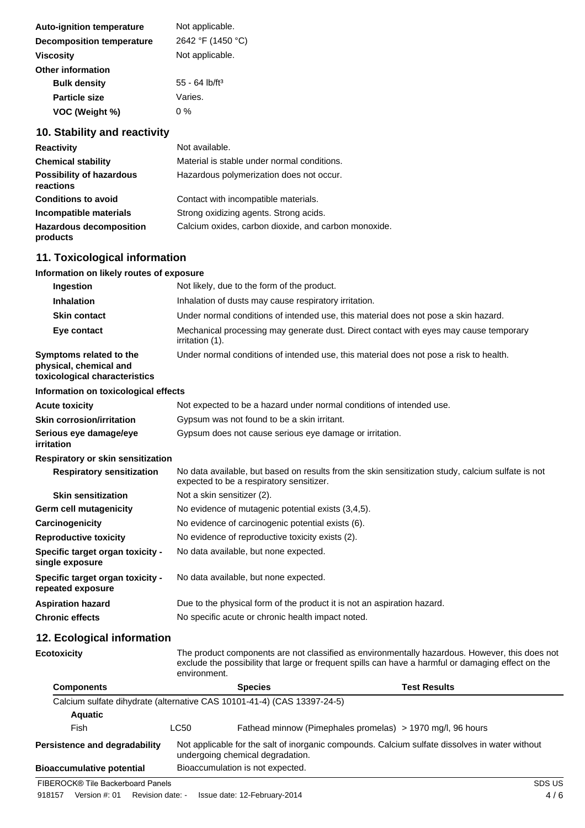| <b>Auto-ignition temperature</b> | Not applicable.              |
|----------------------------------|------------------------------|
| <b>Decomposition temperature</b> | 2642 °F (1450 °C)            |
| <b>Viscosity</b>                 | Not applicable.              |
| <b>Other information</b>         |                              |
| <b>Bulk density</b>              | $55 - 64$ lb/ft <sup>3</sup> |
| <b>Particle size</b>             | Varies.                      |
| VOC (Weight %)                   | 0 %                          |

# **10. Stability and reactivity**

| <b>Reactivity</b>                            | Not available.                                       |
|----------------------------------------------|------------------------------------------------------|
| <b>Chemical stability</b>                    | Material is stable under normal conditions.          |
| <b>Possibility of hazardous</b><br>reactions | Hazardous polymerization does not occur.             |
| <b>Conditions to avoid</b>                   | Contact with incompatible materials.                 |
| Incompatible materials                       | Strong oxidizing agents. Strong acids.               |
| <b>Hazardous decomposition</b><br>products   | Calcium oxides, carbon dioxide, and carbon monoxide. |

# **11. Toxicological information**

| Information on likely routes of exposure |  |  |  |
|------------------------------------------|--|--|--|
|------------------------------------------|--|--|--|

| Ingestion                                                                          | Not likely, due to the form of the product.                                                    |                                                                         |                                                                                                                                                                                                      |  |
|------------------------------------------------------------------------------------|------------------------------------------------------------------------------------------------|-------------------------------------------------------------------------|------------------------------------------------------------------------------------------------------------------------------------------------------------------------------------------------------|--|
| <b>Inhalation</b>                                                                  | Inhalation of dusts may cause respiratory irritation.                                          |                                                                         |                                                                                                                                                                                                      |  |
| <b>Skin contact</b>                                                                | Under normal conditions of intended use, this material does not pose a skin hazard.            |                                                                         |                                                                                                                                                                                                      |  |
| Eye contact                                                                        | irritation (1).                                                                                |                                                                         | Mechanical processing may generate dust. Direct contact with eyes may cause temporary                                                                                                                |  |
| Symptoms related to the<br>physical, chemical and<br>toxicological characteristics |                                                                                                |                                                                         | Under normal conditions of intended use, this material does not pose a risk to health.                                                                                                               |  |
| Information on toxicological effects                                               |                                                                                                |                                                                         |                                                                                                                                                                                                      |  |
| <b>Acute toxicity</b>                                                              |                                                                                                | Not expected to be a hazard under normal conditions of intended use.    |                                                                                                                                                                                                      |  |
| <b>Skin corrosion/irritation</b>                                                   |                                                                                                | Gypsum was not found to be a skin irritant.                             |                                                                                                                                                                                                      |  |
| Serious eye damage/eye<br><b>irritation</b>                                        |                                                                                                | Gypsum does not cause serious eye damage or irritation.                 |                                                                                                                                                                                                      |  |
| <b>Respiratory or skin sensitization</b>                                           |                                                                                                |                                                                         |                                                                                                                                                                                                      |  |
| <b>Respiratory sensitization</b>                                                   |                                                                                                | expected to be a respiratory sensitizer.                                | No data available, but based on results from the skin sensitization study, calcium sulfate is not                                                                                                    |  |
| <b>Skin sensitization</b>                                                          |                                                                                                | Not a skin sensitizer (2).                                              |                                                                                                                                                                                                      |  |
| <b>Germ cell mutagenicity</b>                                                      |                                                                                                | No evidence of mutagenic potential exists (3,4,5).                      |                                                                                                                                                                                                      |  |
| Carcinogenicity                                                                    |                                                                                                | No evidence of carcinogenic potential exists (6).                       |                                                                                                                                                                                                      |  |
| <b>Reproductive toxicity</b>                                                       |                                                                                                | No evidence of reproductive toxicity exists (2).                        |                                                                                                                                                                                                      |  |
| Specific target organ toxicity -<br>single exposure                                |                                                                                                | No data available, but none expected.                                   |                                                                                                                                                                                                      |  |
| Specific target organ toxicity -<br>repeated exposure                              |                                                                                                | No data available, but none expected.                                   |                                                                                                                                                                                                      |  |
| <b>Aspiration hazard</b>                                                           |                                                                                                | Due to the physical form of the product it is not an aspiration hazard. |                                                                                                                                                                                                      |  |
| <b>Chronic effects</b>                                                             |                                                                                                | No specific acute or chronic health impact noted.                       |                                                                                                                                                                                                      |  |
| 12. Ecological information                                                         |                                                                                                |                                                                         |                                                                                                                                                                                                      |  |
| <b>Ecotoxicity</b>                                                                 | environment.                                                                                   |                                                                         | The product components are not classified as environmentally hazardous. However, this does not<br>exclude the possibility that large or frequent spills can have a harmful or damaging effect on the |  |
| <b>Components</b>                                                                  |                                                                                                | <b>Species</b>                                                          | <b>Test Results</b>                                                                                                                                                                                  |  |
|                                                                                    |                                                                                                | Calcium sulfate dihydrate (alternative CAS 10101-41-4) (CAS 13397-24-5) |                                                                                                                                                                                                      |  |
| <b>Aquatic</b>                                                                     |                                                                                                |                                                                         |                                                                                                                                                                                                      |  |
| Fish                                                                               | LC50                                                                                           |                                                                         | Fathead minnow (Pimephales promelas) > 1970 mg/l, 96 hours                                                                                                                                           |  |
| <b>Persistence and degradability</b>                                               | Not applicable for the salt of inorganic compounds. Calcium sulfate dissolves in water without |                                                                         |                                                                                                                                                                                                      |  |

| Persistence and degradability | Not applicable for the sait of inorga<br>undergoing chemical degradation. |
|-------------------------------|---------------------------------------------------------------------------|
|                               |                                                                           |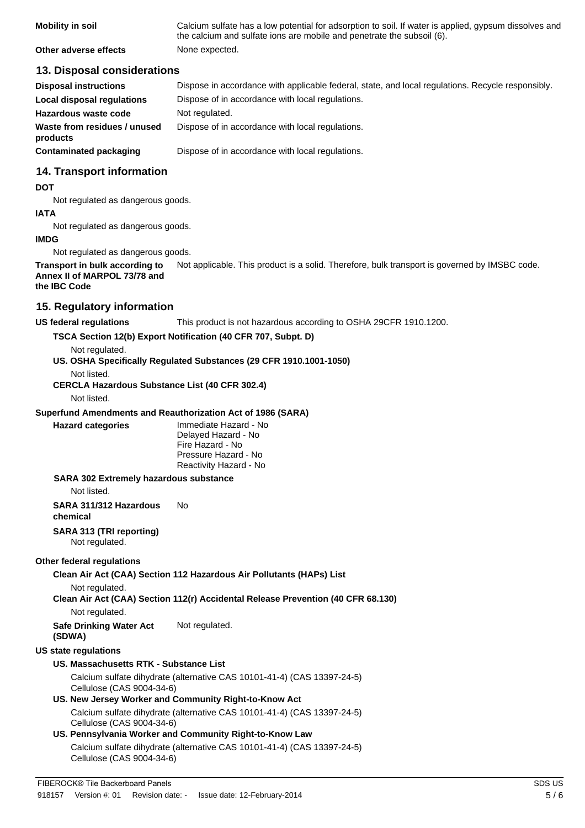| <b>Mobility in soil</b> | Calcium sulfate has a low potential for adsorption to soil. If water is applied, gypsum dissolves and<br>the calcium and sulfate ions are mobile and penetrate the subsoil (6). |
|-------------------------|---------------------------------------------------------------------------------------------------------------------------------------------------------------------------------|
| Other adverse effects   | None expected.                                                                                                                                                                  |

#### **13. Disposal considerations**

| <b>Disposal instructions</b>             | Dispose in accordance with applicable federal, state, and local regulations. Recycle responsibly. |
|------------------------------------------|---------------------------------------------------------------------------------------------------|
| Local disposal regulations               | Dispose of in accordance with local regulations.                                                  |
| Hazardous waste code                     | Not regulated.                                                                                    |
| Waste from residues / unused<br>products | Dispose of in accordance with local regulations.                                                  |
| Contaminated packaging                   | Dispose of in accordance with local regulations.                                                  |

## **14. Transport information**

#### **DOT**

Not regulated as dangerous goods.

#### **IATA**

Not regulated as dangerous goods.

#### **IMDG**

Not regulated as dangerous goods.

**Transport in bulk according to** Not applicable. This product is a solid. Therefore, bulk transport is governed by IMSBC code. **Annex II of MARPOL 73/78 and**

## **the IBC Code**

### **15. Regulatory information**

**US federal regulations** This product is not hazardous according to OSHA 29CFR 1910.1200.

#### **TSCA Section 12(b) Export Notification (40 CFR 707, Subpt. D)**

Not regulated.

**US. OSHA Specifically Regulated Substances (29 CFR 1910.1001-1050)**

Not listed.

**CERCLA Hazardous Substance List (40 CFR 302.4)**

Not listed.

#### **Superfund Amendments and Reauthorization Act of 1986 (SARA)**

**Hazard categories** Immediate Hazard - No Delayed Hazard - No Fire Hazard - No Pressure Hazard - No Reactivity Hazard - No

#### **SARA 302 Extremely hazardous substance**

Not listed.

**SARA 311/312 Hazardous** No

**chemical**

#### **SARA 313 (TRI reporting)**

Not regulated.

#### **Other federal regulations**

**Clean Air Act (CAA) Section 112 Hazardous Air Pollutants (HAPs) List**

Not regulated.

## **Clean Air Act (CAA) Section 112(r) Accidental Release Prevention (40 CFR 68.130)**

Not regulated.

**Safe Drinking Water Act** Not regulated.

# **(SDWA)**

#### **US state regulations US. Massachusetts RTK - Substance List**

Calcium sulfate dihydrate (alternative CAS 10101-41-4) (CAS 13397-24-5) Cellulose (CAS 9004-34-6)

#### **US. New Jersey Worker and Community Right-to-Know Act** Calcium sulfate dihydrate (alternative CAS 10101-41-4) (CAS 13397-24-5)

Cellulose (CAS 9004-34-6)

### **US. Pennsylvania Worker and Community Right-to-Know Law** Calcium sulfate dihydrate (alternative CAS 10101-41-4) (CAS 13397-24-5) Cellulose (CAS 9004-34-6)